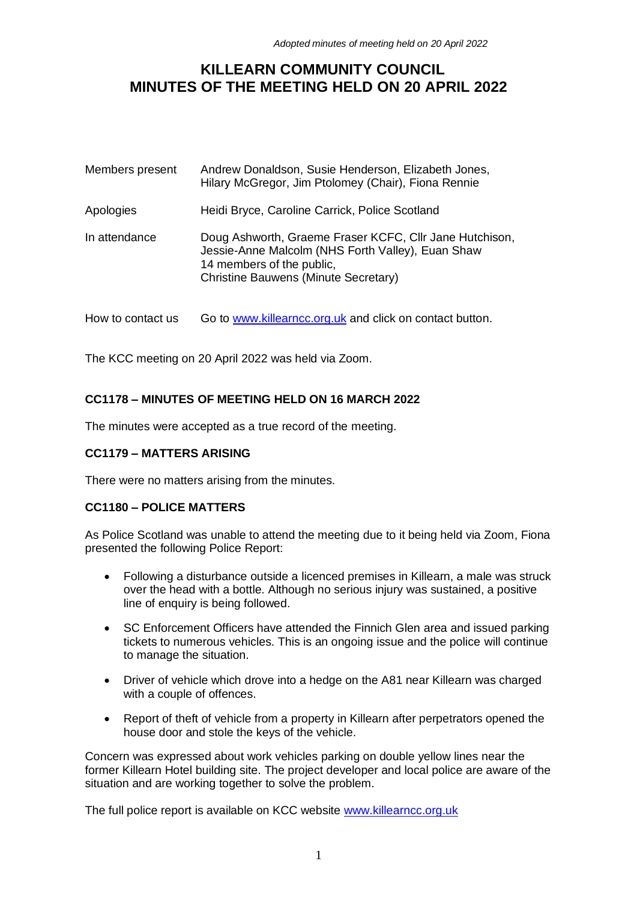# **KILLEARN COMMUNITY COUNCIL MINUTES OF THE MEETING HELD ON 20 APRIL 2022**

| Members present | Andrew Donaldson, Susie Henderson, Elizabeth Jones,<br>Hilary McGregor, Jim Ptolomey (Chair), Fiona Rennie                                                                               |
|-----------------|------------------------------------------------------------------------------------------------------------------------------------------------------------------------------------------|
| Apologies       | Heidi Bryce, Caroline Carrick, Police Scotland                                                                                                                                           |
| In attendance   | Doug Ashworth, Graeme Fraser KCFC, Cllr Jane Hutchison,<br>Jessie-Anne Malcolm (NHS Forth Valley), Euan Shaw<br>14 members of the public,<br><b>Christine Bauwens (Minute Secretary)</b> |

How to contact us Go to [www.killearncc.org.uk](http://www.killearncc.org.uk/) and click on contact button.

The KCC meeting on 20 April 2022 was held via Zoom.

## **CC1178 – MINUTES OF MEETING HELD ON 16 MARCH 2022**

The minutes were accepted as a true record of the meeting.

## **CC1179 – MATTERS ARISING**

There were no matters arising from the minutes.

## **CC1180 – POLICE MATTERS**

As Police Scotland was unable to attend the meeting due to it being held via Zoom, Fiona presented the following Police Report:

- Following a disturbance outside a licenced premises in Killearn, a male was struck over the head with a bottle. Although no serious injury was sustained, a positive line of enquiry is being followed.
- SC Enforcement Officers have attended the Finnich Glen area and issued parking tickets to numerous vehicles. This is an ongoing issue and the police will continue to manage the situation.
- Driver of vehicle which drove into a hedge on the A81 near Killearn was charged with a couple of offences.
- Report of theft of vehicle from a property in Killearn after perpetrators opened the house door and stole the keys of the vehicle.

Concern was expressed about work vehicles parking on double yellow lines near the former Killearn Hotel building site. The project developer and local police are aware of the situation and are working together to solve the problem.

The full police report is available on KCC website [www.killearncc.org.uk](http://www.killearncc.org.uk/)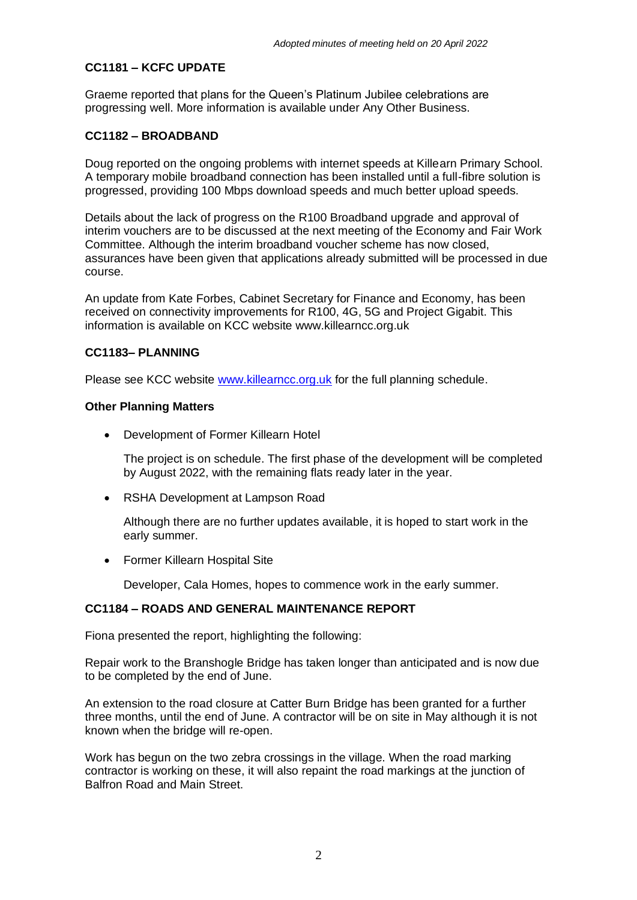# **CC1181 – KCFC UPDATE**

Graeme reported that plans for the Queen's Platinum Jubilee celebrations are progressing well. More information is available under Any Other Business.

## **CC1182 – BROADBAND**

Doug reported on the ongoing problems with internet speeds at Killearn Primary School. A temporary mobile broadband connection has been installed until a full-fibre solution is progressed, providing 100 Mbps download speeds and much better upload speeds.

Details about the lack of progress on the R100 Broadband upgrade and approval of interim vouchers are to be discussed at the next meeting of the Economy and Fair Work Committee. Although the interim broadband voucher scheme has now closed, assurances have been given that applications already submitted will be processed in due course.

An update from Kate Forbes, Cabinet Secretary for Finance and Economy, has been received on connectivity improvements for R100, 4G, 5G and Project Gigabit. This information is available on KCC website www.killearncc.org.uk

#### **CC1183– PLANNING**

Please see KCC website [www.killearncc.org.uk](http://www.killearncc.org.uk/) for the full planning schedule.

#### **Other Planning Matters**

• Development of Former Killearn Hotel

The project is on schedule. The first phase of the development will be completed by August 2022, with the remaining flats ready later in the year.

• RSHA Development at Lampson Road

Although there are no further updates available, it is hoped to start work in the early summer.

• Former Killearn Hospital Site

Developer, Cala Homes, hopes to commence work in the early summer.

## **CC1184 – ROADS AND GENERAL MAINTENANCE REPORT**

Fiona presented the report, highlighting the following:

Repair work to the Branshogle Bridge has taken longer than anticipated and is now due to be completed by the end of June.

An extension to the road closure at Catter Burn Bridge has been granted for a further three months, until the end of June. A contractor will be on site in May although it is not known when the bridge will re-open.

Work has begun on the two zebra crossings in the village. When the road marking contractor is working on these, it will also repaint the road markings at the junction of Balfron Road and Main Street.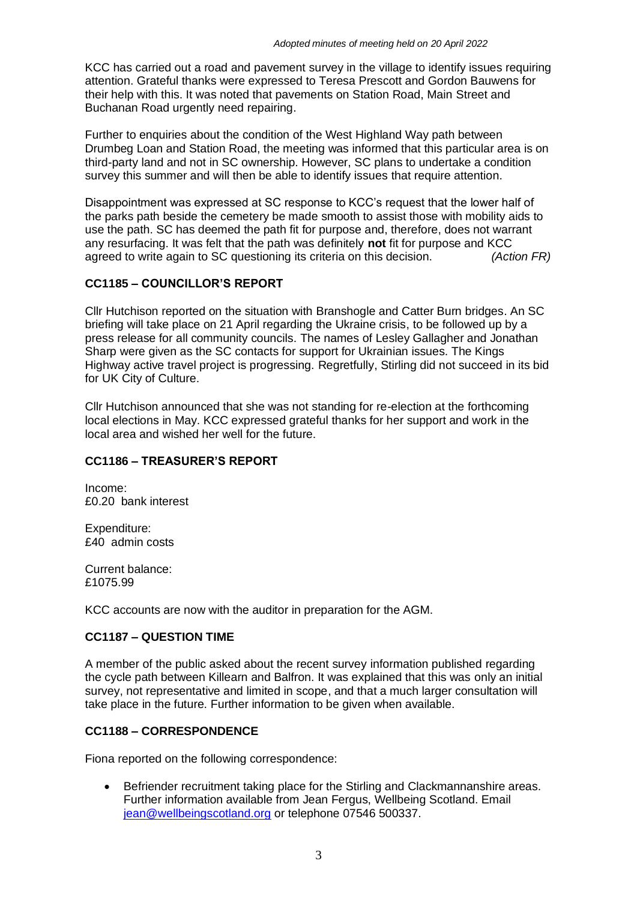KCC has carried out a road and pavement survey in the village to identify issues requiring attention. Grateful thanks were expressed to Teresa Prescott and Gordon Bauwens for their help with this. It was noted that pavements on Station Road, Main Street and Buchanan Road urgently need repairing.

Further to enquiries about the condition of the West Highland Way path between Drumbeg Loan and Station Road, the meeting was informed that this particular area is on third-party land and not in SC ownership. However, SC plans to undertake a condition survey this summer and will then be able to identify issues that require attention.

Disappointment was expressed at SC response to KCC's request that the lower half of the parks path beside the cemetery be made smooth to assist those with mobility aids to use the path. SC has deemed the path fit for purpose and, therefore, does not warrant any resurfacing. It was felt that the path was definitely **not** fit for purpose and KCC agreed to write again to SC questioning its criteria on this decision. *(Action FR)*

# **CC1185 – COUNCILLOR'S REPORT**

Cllr Hutchison reported on the situation with Branshogle and Catter Burn bridges. An SC briefing will take place on 21 April regarding the Ukraine crisis, to be followed up by a press release for all community councils. The names of Lesley Gallagher and Jonathan Sharp were given as the SC contacts for support for Ukrainian issues. The Kings Highway active travel project is progressing. Regretfully, Stirling did not succeed in its bid for UK City of Culture.

Cllr Hutchison announced that she was not standing for re-election at the forthcoming local elections in May. KCC expressed grateful thanks for her support and work in the local area and wished her well for the future.

## **CC1186 – TREASURER'S REPORT**

Income: £0.20 bank interest

Expenditure: £40 admin costs

Current balance: £1075.99

KCC accounts are now with the auditor in preparation for the AGM.

## **CC1187 – QUESTION TIME**

A member of the public asked about the recent survey information published regarding the cycle path between Killearn and Balfron. It was explained that this was only an initial survey, not representative and limited in scope, and that a much larger consultation will take place in the future. Further information to be given when available.

## **CC1188 – CORRESPONDENCE**

Fiona reported on the following correspondence:

• Befriender recruitment taking place for the Stirling and Clackmannanshire areas. Further information available from Jean Fergus, Wellbeing Scotland. Email [jean@wellbeingscotland.org](mailto:jean@wellbeingscotland.org) or telephone 07546 500337.